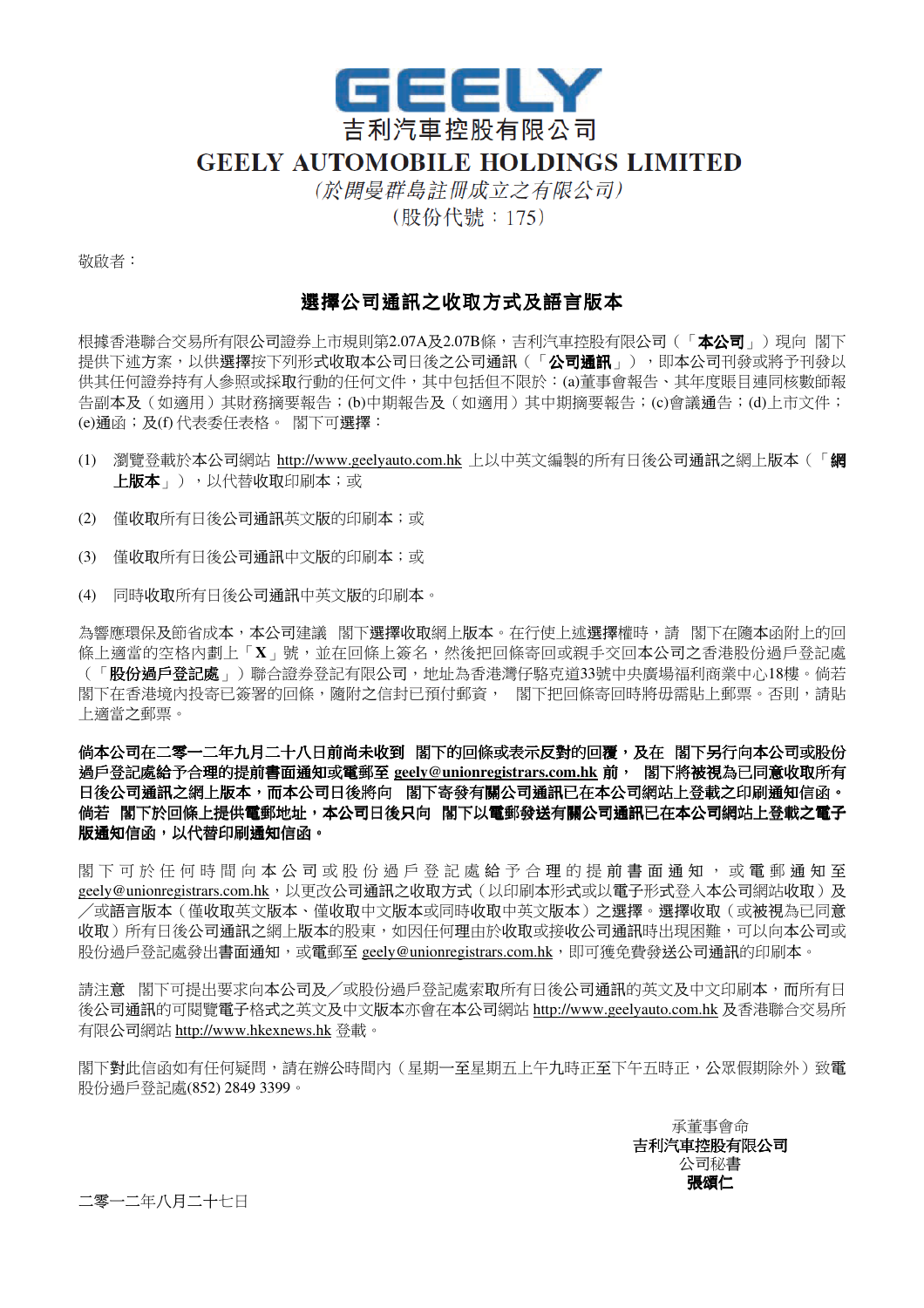

## **GEELY AUTOMOBILE HOLDINGS LIMITED**

(於開曼群島註冊成立之有限公司) (股份代號: 175)

敬啟者:

## 選擇公司通訊之收取方式及語言版本

根據香港聯合交易所有限公司證券上市規則第2.07A及2.07B條,吉利汽車控股有限公司(「**本公司**」)現向 閣下 提供下述方案,以供選擇按下列形式收取本公司日後之公司通訊(「**公司通訊**」),即本公司刊發或將予刊發以 供其任何證券持有人參照或採取行動的任何文件,其中包括但不限於:(a)董事會報告、其年度賬目連同核數師報 告副本及(如適用)其財務摘要報告;(b)中期報告及(如適用)其中期摘要報告;(c)會議通告;(d)上市文件; (e)通函;及(f) 代表委任表格。 閣下可選擇:

- (1) 瀏覽登載於本公司網站 http://www.geelyauto.com.hk 上以中英文編製的所有日後公司通訊之網上版本(「網 上版本 」), 以代替收取印刷本; 或
- (2) 僅收取所有日後公司通訊英文版的印刷本;或
- (3) 僅收取所有日後公司通訊中文版的印刷本;或
- (4) 同時收取所有日後公司通訊中英文版的印刷本。

為響應環保及節省成本,本公司建議 閣下選擇收取網上版本。在行使上述選擇權時,請 閣下在隨本函附上的回 條上適當的空格內劃上「**X**」號,並在回條上簽名,然後把回條寄回或親手交回本公司之香港股份過戶登記處 (「**股份過戶登記處**」)聯合證券登記有限公司,地址為香港灣仔駱克道33號中央廣場福利商業中心18樓。倘若 閣下在香港境內投寄已簽署的回條,隨附之信封已預付郵資, 閣下把回條寄回時將毋需貼上郵票。否則,請貼 上適當之郵票。

倘本公司在二零一二年九月二十八日前尚未收到閣下的回條或表示反對的回覆,及在閣下另行向本公司或股份 過戶登記處給予合理的提前書面通知或電郵至 **geely@unionregistrars.com.hk** 前,閣下將被視為已同意收取所有 日後公司通訊之網上版本,而本公司日後將向 ,閣下寄發有關公司通訊已在本公司網站上登載之印刷通知信函。 倘若閣下於回條上提供電郵地址,本公司日後只向 ,本公司日後只向閣下以電郵發送有關公司通訊已在本公司網站上登載之電子 版通知信函,以代替印刷通知信函。

閣 下 可 於 任 何 時 間 向 本 公 司 或 股 份 過 戶 登 記 處 給 予 合 理 的 提 前 書 面 通 知 , 或 電 郵 通 知 至 geely@unionregistrars.com.hk,以更改公司通訊之收取方式(以印刷本形式或以電子形式登入本公司網站收取)及 ╱或語言版本(僅收取英文版本、僅收取中文版本或同時收取中英文版本)之選擇。選擇收取(或被視為已同意 收取)所有日後公司通訊之網上版本的股東,如因任何理由於收取或接收公司通訊時出現困難,可以向本公司或 股份過戶登記處發出書面通知,或電郵至 geely@unionregistrars.com.hk, 即可獲免費發送公司通訊的印刷本。

請注意 閣下可提出要求向本公司及╱或股份過戶登記處索取所有日後公司通訊的英文及中文印刷本,而所有日 後公司通訊的可閱覽電子格式之英文及中文版本亦會在本公司網站 http://www.geelyauto.com.hk 及香港聯合交易所 有限公司網站 http://www.hkexnews.hk 登載。

閣下對此信函如有任何疑問,請在辦公時間內(星期一至星期五上午九時正至下午五時正,公眾假期除外)致電 股份過戶登記處(852) 2849 3399。

> 承董事會命 吉利汽車控股有限公司 公司秘書 張頌仁

二零一二年八月二十七日